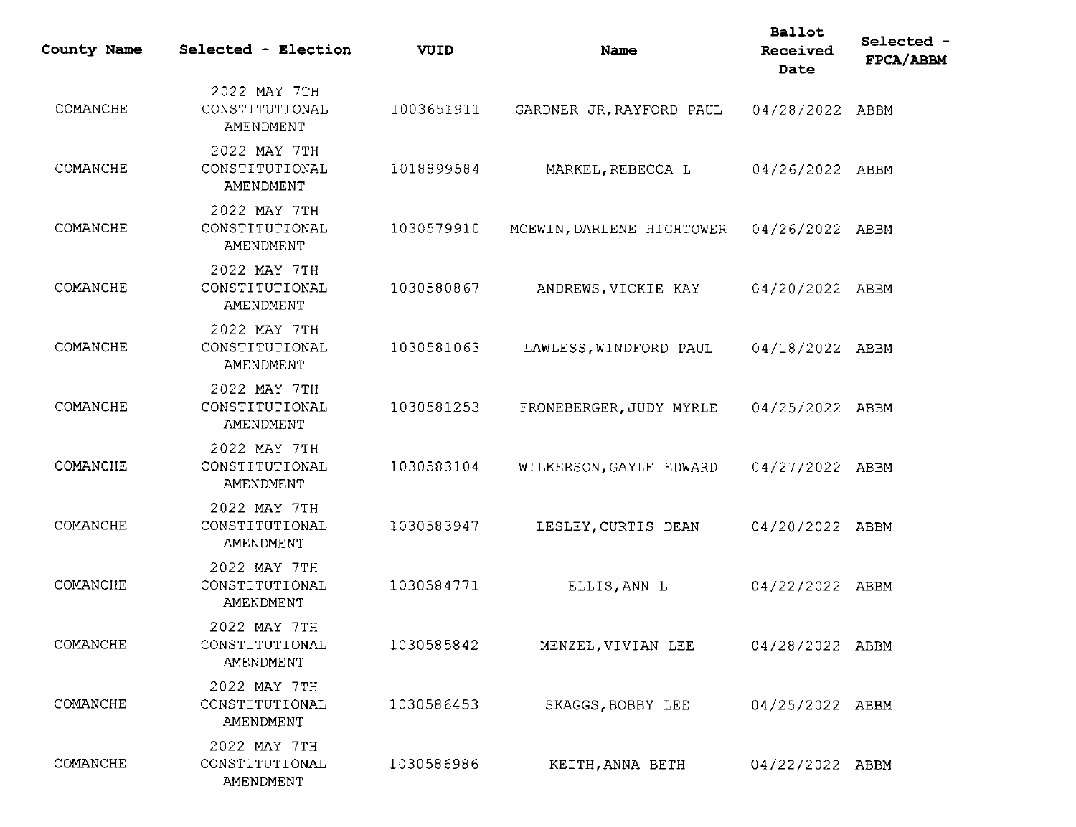| County Name | Selected - Election                         | VUID       | Name                      | <b>Ballot</b><br>Received<br>Date | Selected -<br>FPCA/ABBM |
|-------------|---------------------------------------------|------------|---------------------------|-----------------------------------|-------------------------|
| COMANCHE    | 2022 MAY 7TH<br>CONSTITUTIONAL<br>AMENDMENT | 1003651911 | GARDNER JR, RAYFORD PAUL  | 04/28/2022 ABBM                   |                         |
| COMANCHE    | 2022 MAY 7TH<br>CONSTITUTIONAL<br>AMENDMENT | 1018899584 | MARKEL, REBECCA L         | 04/26/2022 ABBM                   |                         |
| COMANCHE    | 2022 MAY 7TH<br>CONSTITUTIONAL<br>AMENDMENT | 1030579910 | MCEWIN, DARLENE HIGHTOWER | 04/26/2022 ABBM                   |                         |
| COMANCHE    | 2022 MAY 7TH<br>CONSTITUTIONAL<br>AMENDMENT | 1030580867 | ANDREWS, VICKIE KAY       | 04/20/2022 ABBM                   |                         |
| COMANCHE    | 2022 MAY 7TH<br>CONSTITUTIONAL<br>AMENDMENT | 1030581063 | LAWLESS, WINDFORD PAUL    | 04/18/2022 ABBM                   |                         |
| COMANCHE    | 2022 MAY 7TH<br>CONSTITUTIONAL<br>AMENDMENT | 1030581253 | FRONEBERGER, JUDY MYRLE   | 04/25/2022 ABBM                   |                         |
| COMANCHE    | 2022 MAY 7TH<br>CONSTITUTIONAL<br>AMENDMENT | 1030583104 | WILKERSON, GAYLE EDWARD   | 04/27/2022 ABBM                   |                         |
| COMANCHE    | 2022 MAY 7TH<br>CONSTITUTIONAL<br>AMENDMENT | 1030583947 | LESLEY, CURTIS DEAN       | 04/20/2022 ABBM                   |                         |
| COMANCHE    | 2022 MAY 7TH<br>CONSTITUTIONAL<br>AMENDMENT | 1030584771 | ELLIS, ANN L              | 04/22/2022 ABBM                   |                         |
| COMANCHE    | 2022 MAY 7TH<br>CONSTITUTIONAL<br>AMENDMENT | 1030585842 | MENZEL, VIVIAN LEE        | 04/28/2022 ABBM                   |                         |
| COMANCHE    | 2022 MAY 7TH<br>CONSTITUTIONAL<br>AMENDMENT | 1030586453 | SKAGGS, BOBBY LEE         | 04/25/2022 ABBM                   |                         |
| COMANCHE    | 2022 MAY 7TH<br>CONSTITUTIONAL<br>AMENDMENT | 1030586986 | KEITH, ANNA BETH          | 04/22/2022 ABBM                   |                         |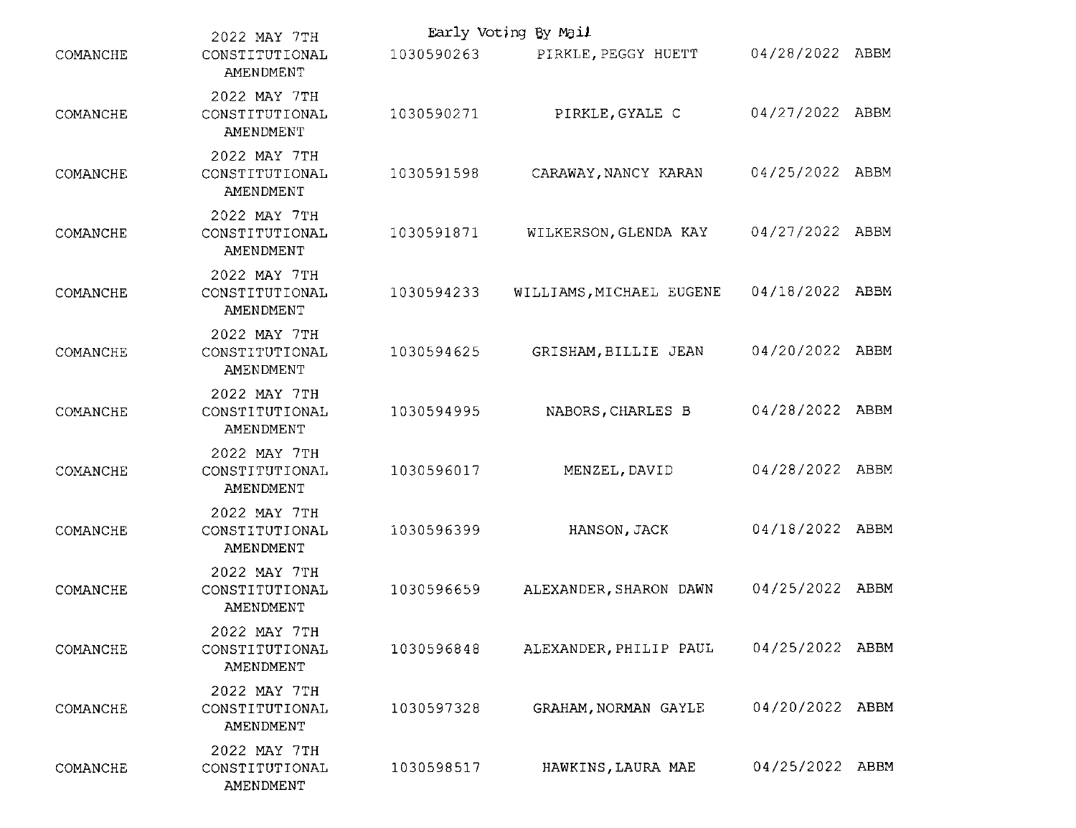|          | Early Voting By Mail<br>2022 MAY 7TH        |            |                          |                 |  |  |
|----------|---------------------------------------------|------------|--------------------------|-----------------|--|--|
| COMANCHE | CONSTITUTIONAL<br>AMENDMENT                 | 1030590263 | PIRKLE, PEGGY HUETT      | 04/28/2022 ABBM |  |  |
| COMANCHE | 2022 MAY 7TH<br>CONSTITUTIONAL<br>AMENDMENT | 1030590271 | PIRKLE, GYALE C          | 04/27/2022 ABBM |  |  |
| COMANCHE | 2022 MAY 7TH<br>CONSTITUTIONAL<br>AMENDMENT | 1030591598 | CARAWAY, NANCY KARAN     | 04/25/2022 ABBM |  |  |
| COMANCHE | 2022 MAY 7TH<br>CONSTITUTIONAL<br>AMENDMENT | 1030591871 | WILKERSON, GLENDA KAY    | 04/27/2022 ABBM |  |  |
| COMANCHE | 2022 MAY 7TH<br>CONSTITUTIONAL<br>AMENDMENT | 1030594233 | WILLIAMS, MICHAEL EUGENE | 04/18/2022 ABBM |  |  |
| COMANCHE | 2022 MAY 7TH<br>CONSTITUTIONAL<br>AMENDMENT | 1030594625 | GRISHAM, BILLIE JEAN     | 04/20/2022 ABBM |  |  |
| COMANCHE | 2022 MAY 7TH<br>CONSTITUTIONAL<br>AMENDMENT | 1030594995 | NABORS, CHARLES B        | 04/28/2022 ABBM |  |  |
| COMANCHE | 2022 MAY 7TH<br>CONSTITUTIONAL<br>AMENDMENT | 1030596017 | MENZEL, DAVID            | 04/28/2022 ABBM |  |  |
| COMANCHE | 2022 MAY 7TH<br>CONSTITUTIONAL<br>AMENDMENT | 1030596399 | HANSON, JACK             | 04/18/2022 ABBM |  |  |
| COMANCHE | 2022 MAY 7TH<br>CONSTITUTIONAL<br>AMENDMENT | 1030596659 | ALEXANDER, SHARON DAWN   | 04/25/2022 ABBM |  |  |
| COMANCHE | 2022 MAY 7TH<br>CONSTITUTIONAL<br>AMENDMENT | 1030596848 | ALEXANDER, PHILIP PAUL   | 04/25/2022 ABBM |  |  |
| COMANCHE | 2022 MAY 7TH<br>CONSTITUTIONAL<br>AMENDMENT | 1030597328 | GRAHAM, NORMAN GAYLE     | 04/20/2022 ABBM |  |  |
| COMANCHE | 2022 MAY 7TH<br>CONSTITUTIONAL<br>AMENDMENT | 1030598517 | HAWKINS, LAURA MAE       | 04/25/2022 ABBM |  |  |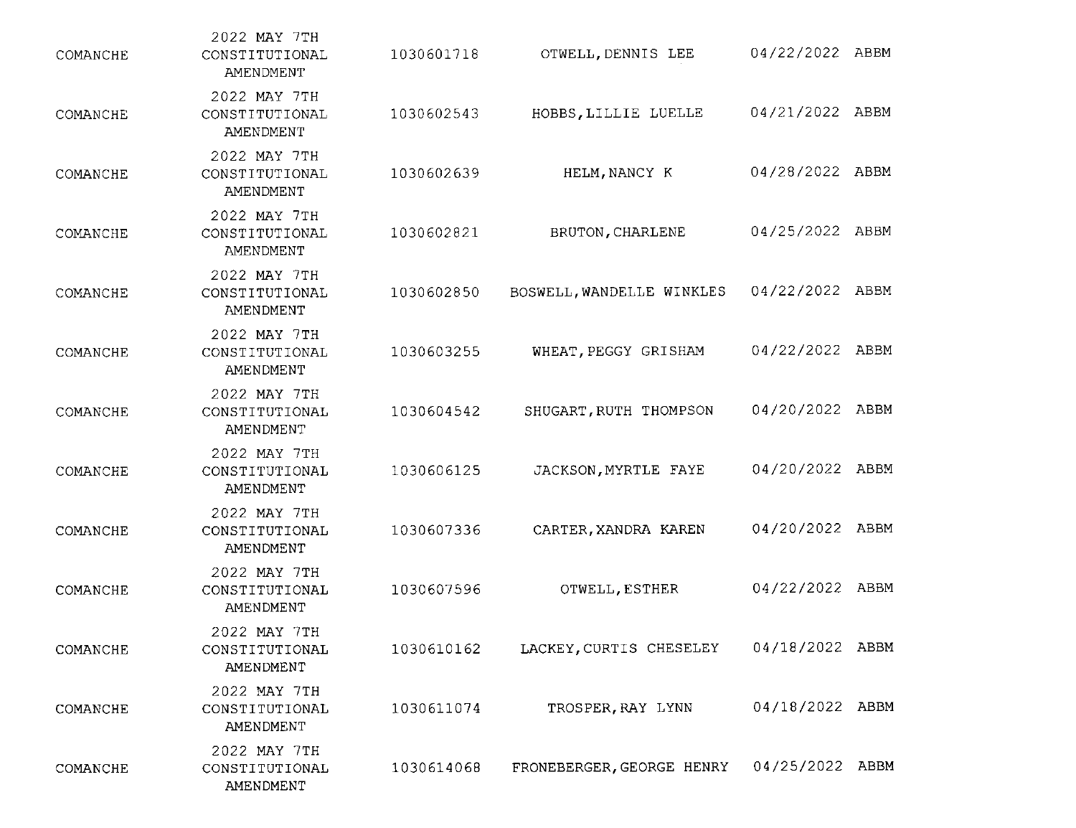| COMANCHE | 2022 MAY 7TH<br>CONSTITUTIONAL<br>AMENDMENT | 1030601718 | OTWELL, DENNIS LEE        | 04/22/2022 ABBM |  |
|----------|---------------------------------------------|------------|---------------------------|-----------------|--|
| COMANCHE | 2022 MAY 7TH<br>CONSTITUTIONAL<br>AMENDMENT | 1030602543 | HOBBS, LILLIE LUELLE      | 04/21/2022 ABBM |  |
| COMANCHE | 2022 MAY 7TH<br>CONSTITUTIONAL<br>AMENDMENT | 1030602639 | HELM, NANCY K             | 04/28/2022 ABBM |  |
| COMANCHE | 2022 MAY 7TH<br>CONSTITUTIONAL<br>AMENDMENT | 1030602821 | BRUTON, CHARLENE          | 04/25/2022 ABBM |  |
| COMANCHE | 2022 MAY 7TH<br>CONSTITUTIONAL<br>AMENDMENT | 1030602850 | BOSWELL, WANDELLE WINKLES | 04/22/2022 ABBM |  |
| COMANCHE | 2022 MAY 7TH<br>CONSTITUTIONAL<br>AMENDMENT | 1030603255 | WHEAT PEGGY GRISHAM       | 04/22/2022 ABBM |  |
| COMANCHE | 2022 MAY 7TH<br>CONSTITUTIONAL<br>AMENDMENT | 1030604542 | SHUGART, RUTH THOMPSON    | 04/20/2022 ABBM |  |
| COMANCHE | 2022 MAY 7TH<br>CONSTITUTIONAL<br>AMENDMENT | 1030606125 | JACKSON, MYRTLE FAYE      | 04/20/2022 ABBM |  |
| COMANCHE | 2022 MAY 7TH<br>CONSTITUTIONAL<br>AMENDMENT | 1030607336 | CARTER, XANDRA KAREN      | 04/20/2022 ABBM |  |
| COMANCHE | 2022 MAY 7TH<br>CONSTITUTIONAL<br>AMENDMENT | 1030607596 | OTWELL, ESTHER            | 04/22/2022 ABBM |  |
| COMANCHE | 2022 MAY 7TH<br>CONSTITUTIONAL<br>AMENDMENT | 1030610162 | LACKEY, CURTIS CHESELEY   | 04/18/2022 ABBM |  |
| COMANCHE | 2022 MAY 7TH<br>CONSTITUTIONAL<br>AMENDMENT | 1030611074 | TROSPER, RAY LYNN         | 04/18/2022 ABBM |  |
| COMANCHE | 2022 MAY 7TH<br>CONSTITUTIONAL<br>AMENDMENT | 1030614068 | FRONEBERGER, GEORGE HENRY | 04/25/2022 ABBM |  |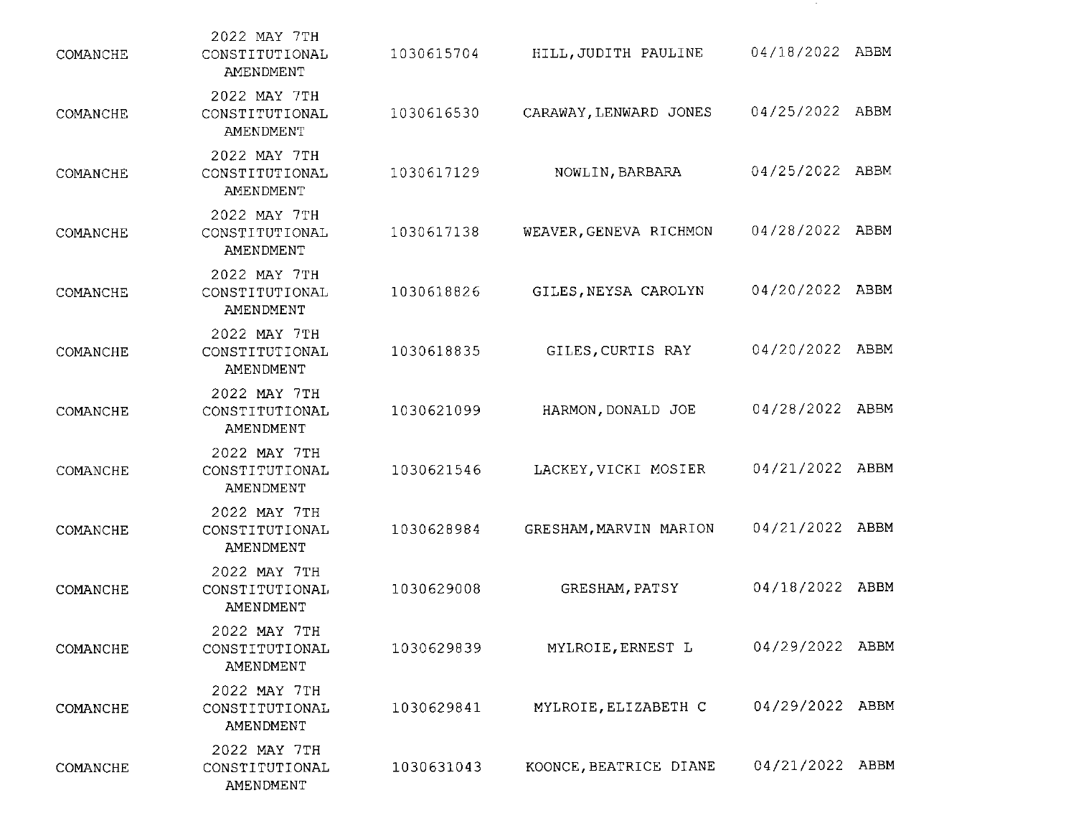| COMANCHE | 2022 MAY 7TH<br>CONSTITUTIONAL<br>AMENDMENT | 1030615704 | HILL, JUDITH PAULINE   | 04/18/2022 ABBM |  |
|----------|---------------------------------------------|------------|------------------------|-----------------|--|
| COMANCHE | 2022 MAY 7TH<br>CONSTITUTIONAL<br>AMENDMENT | 1030616530 | CARAWAY, LENWARD JONES | 04/25/2022 ABBM |  |
| COMANCHE | 2022 MAY 7TH<br>CONSTITUTIONAL<br>AMENDMENT | 1030617129 | NOWLIN, BARBARA        | 04/25/2022 ABBM |  |
| COMANCHE | 2022 MAY 7TH<br>CONSTITUTIONAL<br>AMENDMENT | 1030617138 | WEAVER, GENEVA RICHMON | 04/28/2022 ABBM |  |
| COMANCHE | 2022 MAY 7TH<br>CONSTITUTIONAL<br>AMENDMENT | 1030618826 | GILES, NEYSA CAROLYN   | 04/20/2022 ABBM |  |
| COMANCHE | 2022 MAY 7TH<br>CONSTITUTIONAL<br>AMENDMENT | 1030618835 | GILES, CURTIS RAY      | 04/20/2022 ABBM |  |
| COMANCHE | 2022 MAY 7TH<br>CONSTITUTIONAL<br>AMENDMENT | 1030621099 | HARMON, DONALD JOE     | 04/28/2022 ABBM |  |
| COMANCHE | 2022 MAY 7TH<br>CONSTITUTIONAL<br>AMENDMENT | 1030621546 | LACKEY, VICKI MOSIER   | 04/21/2022 ABBM |  |
| COMANCHE | 2022 MAY 7TH<br>CONSTITUTIONAL<br>AMENDMENT | 1030628984 | GRESHAM, MARVIN MARION | 04/21/2022 ABBM |  |
| COMANCHE | 2022 MAY 7TH<br>CONSTITUTIONAL<br>AMENDMENT | 1030629008 | GRESHAM, PATSY         | 04/18/2022 ABBM |  |
| COMANCHE | 2022 MAY 7TH<br>CONSTITUTIONAL<br>AMENDMENT | 1030629839 | MYLROIE, ERNEST L      | 04/29/2022 ABBM |  |
| COMANCHE | 2022 MAY 7TH<br>CONSTITUTIONAL<br>AMENDMENT | 1030629841 | MYLROIE, ELIZABETH C   | 04/29/2022 ABBM |  |
| COMANCHE | 2022 MAY 7TH<br>CONSTITUTIONAL<br>AMENDMENT | 1030631043 | KOONCE, BEATRICE DIANE | 04/21/2022 ABBM |  |

 $\sim 100$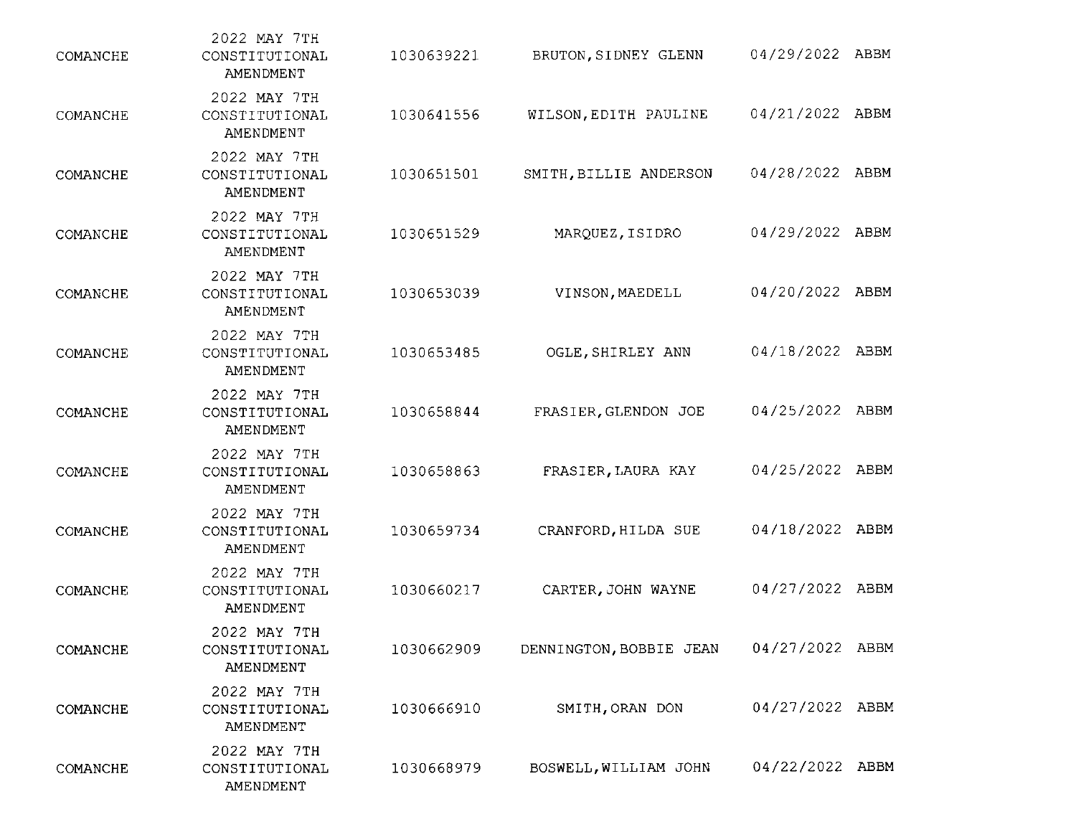| COMANCHE | 2022 MAY 7TH<br>CONSTITUTIONAL<br>AMENDMENT | 1030639221 | BRUTON, SIDNEY GLENN    | 04/29/2022 ABBM |  |
|----------|---------------------------------------------|------------|-------------------------|-----------------|--|
| COMANCHE | 2022 MAY 7TH<br>CONSTITUTIONAL<br>AMENDMENT | 1030641556 | WILSON, EDITH PAULINE   | 04/21/2022 ABBM |  |
| COMANCHE | 2022 MAY 7TH<br>CONSTITUTIONAL<br>AMENDMENT | 1030651501 | SMITH, BILLIE ANDERSON  | 04/28/2022 ABBM |  |
| COMANCHE | 2022 MAY 7TH<br>CONSTITUTIONAL<br>AMENDMENT | 1030651529 | MARQUEZ, ISIDRO         | 04/29/2022 ABBM |  |
| COMANCHE | 2022 MAY 7TH<br>CONSTITUTIONAL<br>AMENDMENT | 1030653039 | VINSON, MAEDELL         | 04/20/2022 ABBM |  |
| COMANCHE | 2022 MAY 7TH<br>CONSTITUTIONAL<br>AMENDMENT | 1030653485 | OGLE, SHIRLEY ANN       | 04/18/2022 ABBM |  |
| COMANCHE | 2022 MAY 7TH<br>CONSTITUTIONAL<br>AMENDMENT | 1030658844 | FRASIER, GLENDON JOE    | 04/25/2022 ABBM |  |
| COMANCHE | 2022 MAY 7TH<br>CONSTITUTIONAL<br>AMENDMENT | 1030658863 | FRASIER, LAURA KAY      | 04/25/2022 ABBM |  |
| COMANCHE | 2022 MAY 7TH<br>CONSTITUTIONAL<br>AMENDMENT | 1030659734 | CRANFORD, HILDA SUE     | 04/18/2022 ABBM |  |
| COMANCHE | 2022 MAY 7TH<br>CONSTITUTIONAL<br>AMENDMENT | 1030660217 | CARTER, JOHN WAYNE      | 04/27/2022 ABBM |  |
| COMANCHE | 2022 MAY 7TH<br>CONSTITUTIONAL<br>AMENDMENT | 1030662909 | DENNINGTON, BOBBIE JEAN | 04/27/2022 ABBM |  |
| COMANCHE | 2022 MAY 7TH<br>CONSTITUTIONAL<br>AMENDMENT | 1030666910 | SMITH, ORAN DON         | 04/27/2022 ABBM |  |
| COMANCHE | 2022 MAY 7TH<br>CONSTITUTIONAL<br>AMENDMENT | 1030668979 | BOSWELL, WILLIAM JOHN   | 04/22/2022 ABBM |  |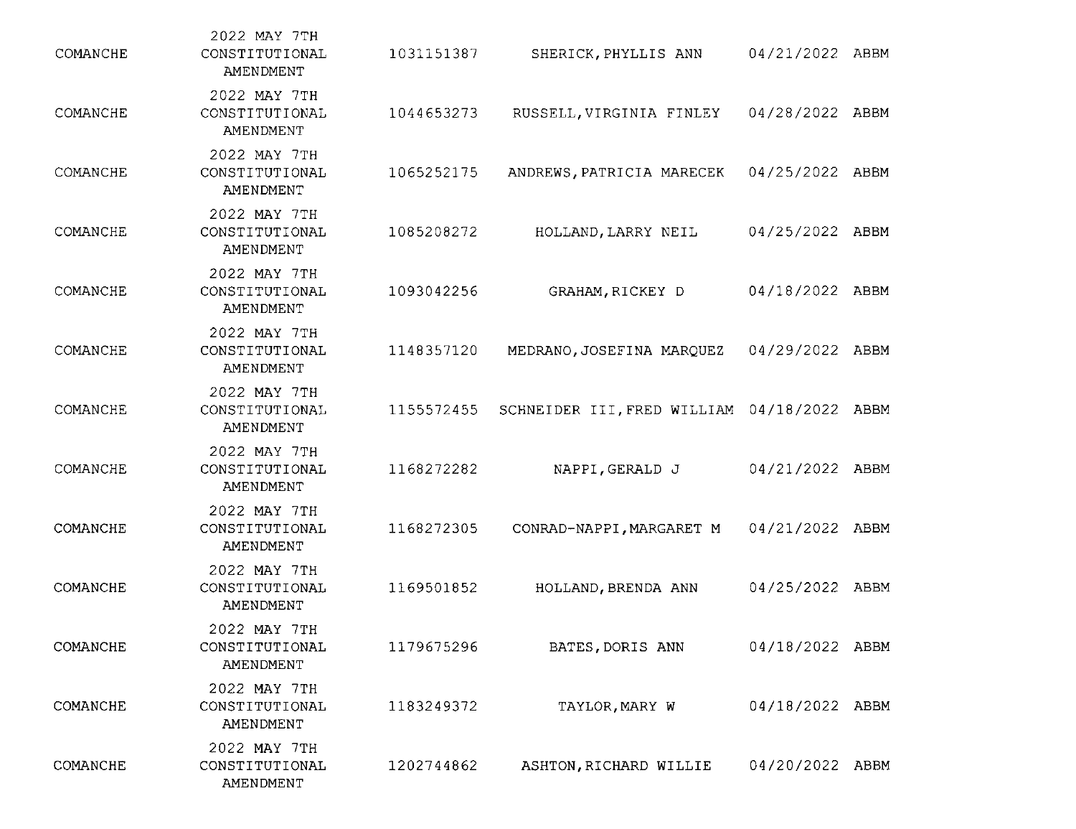| COMANCHE | 2022 MAY 7TH<br>CONSTITUTIONAL<br>AMENDMENT | 1031151387 | SHERICK, PHYLLIS ANN        | 04/21/2022 ABBM |      |
|----------|---------------------------------------------|------------|-----------------------------|-----------------|------|
| COMANCHE | 2022 MAY 7TH<br>CONSTITUTIONAL<br>AMENDMENT | 1044653273 | RUSSELL, VIRGINIA FINLEY    | 04/28/2022      | ABBM |
| COMANCHE | 2022 MAY 7TH<br>CONSTITUTIONAL<br>AMENDMENT | 1065252175 | ANDREWS, PATRICIA MARECEK   | 04/25/2022 ABBM |      |
| COMANCHE | 2022 MAY 7TH<br>CONSTITUTIONAL<br>AMENDMENT | 1085208272 | HOLLAND, LARRY NEIL         | 04/25/2022 ABBM |      |
| COMANCHE | 2022 MAY 7TH<br>CONSTITUTIONAL<br>AMENDMENT | 1093042256 | GRAHAM RICKEY D             | 04/18/2022 ABBM |      |
| COMANCHE | 2022 MAY 7TH<br>CONSTITUTIONAL<br>AMENDMENT | 1148357120 | MEDRANO, JOSEFINA MARQUEZ   | 04/29/2022 ABBM |      |
| COMANCHE | 2022 MAY 7TH<br>CONSTITUTIONAL<br>AMENDMENT | 1155572455 | SCHNEIDER III, FRED WILLIAM | 04/18/2022 ABBM |      |
| COMANCHE | 2022 MAY 7TH<br>CONSTITUTIONAL<br>AMENDMENT | 1168272282 | NAPPI, GERALD J             | 04/21/2022 ABBM |      |
| COMANCHE | 2022 MAY 7TH<br>CONSTITUTIONAL<br>AMENDMENT | 1168272305 | CONRAD-NAPPI, MARGARET M    | 04/21/2022 ABBM |      |
| COMANCHE | 2022 MAY 7TH<br>CONSTITUTIONAL<br>AMENDMENT | 1169501852 | HOLLAND, BRENDA ANN         | 04/25/2022 ABBM |      |
| COMANCHE | 2022 MAY 7TH<br>CONSTITUTIONAL<br>AMENDMENT | 1179675296 | BATES, DORIS ANN            | 04/18/2022 ABBM |      |
| COMANCHE | 2022 MAY 7TH<br>CONSTITUTIONAL<br>AMENDMENT | 1183249372 | TAYLOR, MARY W              | 04/18/2022 ABBM |      |
| COMANCHE | 2022 MAY 7TH<br>CONSTITUTIONAL<br>AMENDMENT | 1202744862 | ASHTON, RICHARD WILLIE      | 04/20/2022 ABBM |      |